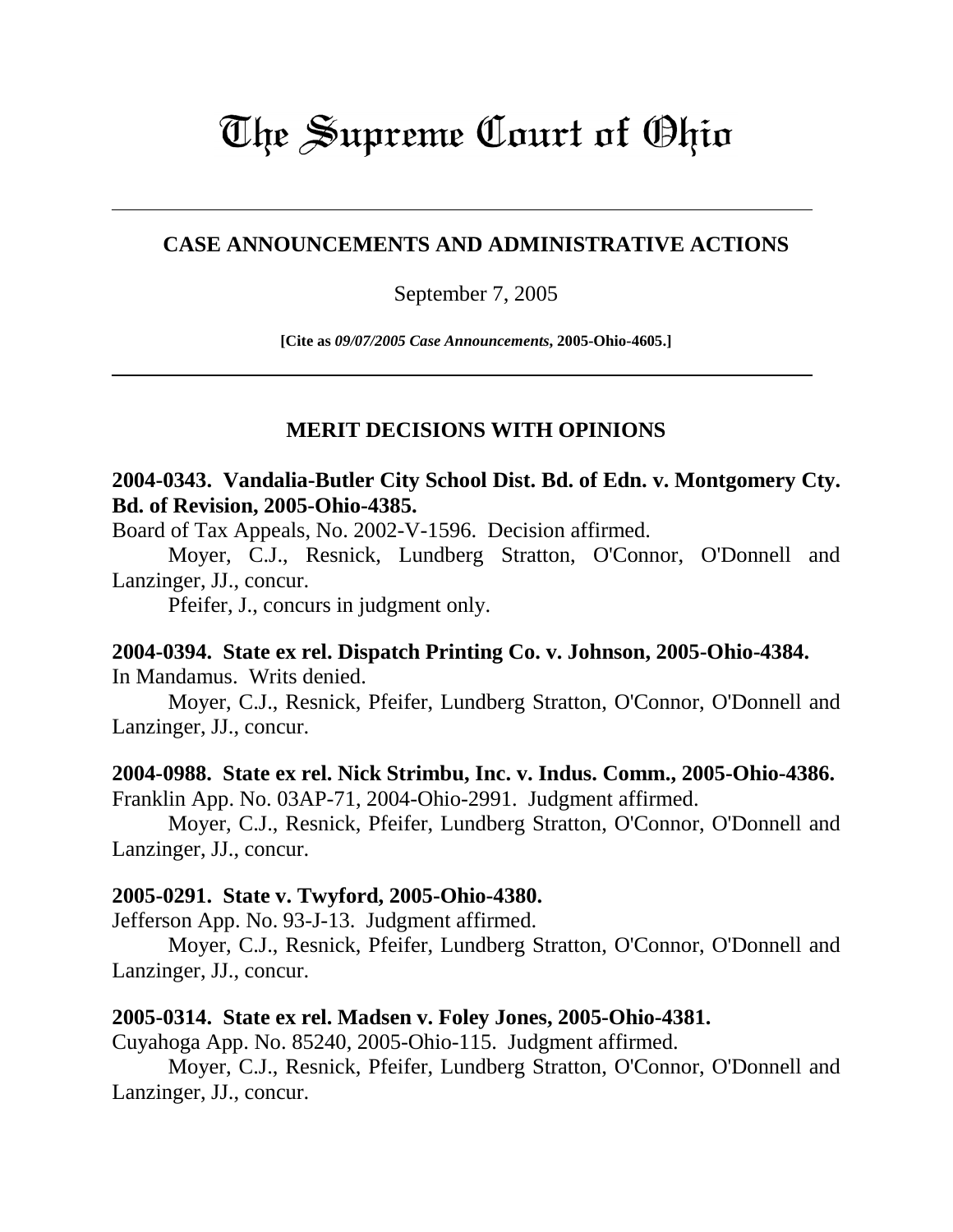# The Supreme Court of Ohio

# **CASE ANNOUNCEMENTS AND ADMINISTRATIVE ACTIONS**

#### September 7, 2005

**[Cite as** *09/07/2005 Case Announcements***, 2005-Ohio-4605.]**

# **MERIT DECISIONS WITH OPINIONS**

# **2004-0343. Vandalia-Butler City School Dist. Bd. of Edn. v. Montgomery Cty. Bd. of Revision, 2005-Ohio-4385.**

Board of Tax Appeals, No. 2002-V-1596. Decision affirmed.

Moyer, C.J., Resnick, Lundberg Stratton, O'Connor, O'Donnell and Lanzinger, JJ., concur.

Pfeifer, J., concurs in judgment only.

# **2004-0394. State ex rel. Dispatch Printing Co. v. Johnson, 2005-Ohio-4384.**

In Mandamus. Writs denied.

Moyer, C.J., Resnick, Pfeifer, Lundberg Stratton, O'Connor, O'Donnell and Lanzinger, JJ., concur.

# **2004-0988. State ex rel. Nick Strimbu, Inc. v. Indus. Comm., 2005-Ohio-4386.**

Franklin App. No. 03AP-71, 2004-Ohio-2991. Judgment affirmed.

Moyer, C.J., Resnick, Pfeifer, Lundberg Stratton, O'Connor, O'Donnell and Lanzinger, JJ., concur.

#### **2005-0291. State v. Twyford, 2005-Ohio-4380.**

Jefferson App. No. 93-J-13. Judgment affirmed.

Moyer, C.J., Resnick, Pfeifer, Lundberg Stratton, O'Connor, O'Donnell and Lanzinger, JJ., concur.

# **2005-0314. State ex rel. Madsen v. Foley Jones, 2005-Ohio-4381.**

Cuyahoga App. No. 85240, 2005-Ohio-115. Judgment affirmed.

Moyer, C.J., Resnick, Pfeifer, Lundberg Stratton, O'Connor, O'Donnell and Lanzinger, JJ., concur.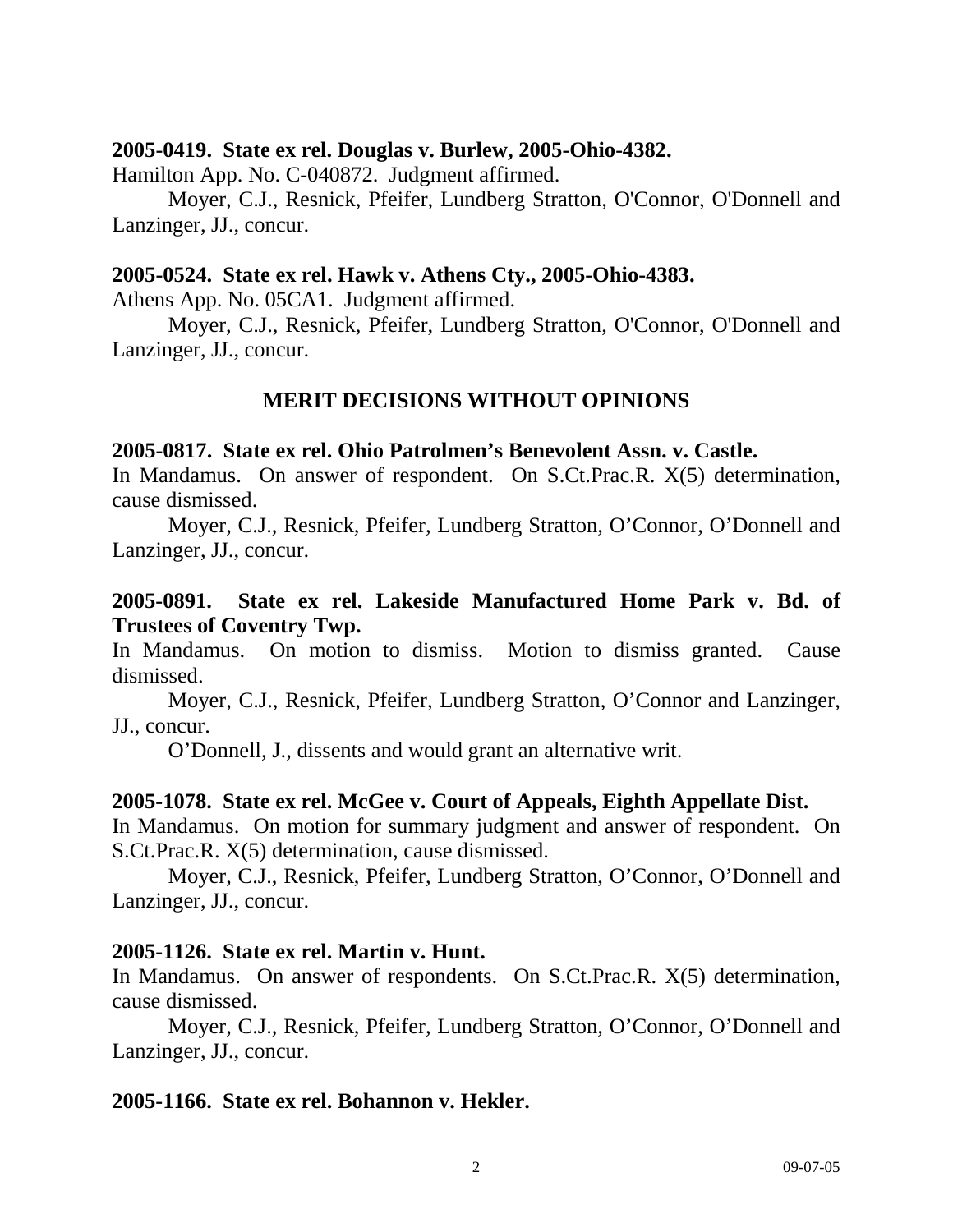#### **2005-0419. State ex rel. Douglas v. Burlew, 2005-Ohio-4382.**

Hamilton App. No. C-040872. Judgment affirmed.

 Moyer, C.J., Resnick, Pfeifer, Lundberg Stratton, O'Connor, O'Donnell and Lanzinger, JJ., concur.

# **2005-0524. State ex rel. Hawk v. Athens Cty., 2005-Ohio-4383.**

Athens App. No. 05CA1. Judgment affirmed.

Moyer, C.J., Resnick, Pfeifer, Lundberg Stratton, O'Connor, O'Donnell and Lanzinger, JJ., concur.

# **MERIT DECISIONS WITHOUT OPINIONS**

# **2005-0817. State ex rel. Ohio Patrolmen's Benevolent Assn. v. Castle.**

In Mandamus. On answer of respondent. On S.Ct.Prac.R. X(5) determination, cause dismissed.

 Moyer, C.J., Resnick, Pfeifer, Lundberg Stratton, O'Connor, O'Donnell and Lanzinger, JJ., concur.

# **2005-0891. State ex rel. Lakeside Manufactured Home Park v. Bd. of Trustees of Coventry Twp.**

In Mandamus. On motion to dismiss. Motion to dismiss granted. Cause dismissed.

 Moyer, C.J., Resnick, Pfeifer, Lundberg Stratton, O'Connor and Lanzinger, JJ., concur.

O'Donnell, J., dissents and would grant an alternative writ.

# **2005-1078. State ex rel. McGee v. Court of Appeals, Eighth Appellate Dist.**

In Mandamus. On motion for summary judgment and answer of respondent. On S.Ct.Prac.R. X(5) determination, cause dismissed.

 Moyer, C.J., Resnick, Pfeifer, Lundberg Stratton, O'Connor, O'Donnell and Lanzinger, JJ., concur.

# **2005-1126. State ex rel. Martin v. Hunt.**

In Mandamus. On answer of respondents. On S.Ct.Prac.R. X(5) determination, cause dismissed.

 Moyer, C.J., Resnick, Pfeifer, Lundberg Stratton, O'Connor, O'Donnell and Lanzinger, JJ., concur.

# **2005-1166. State ex rel. Bohannon v. Hekler.**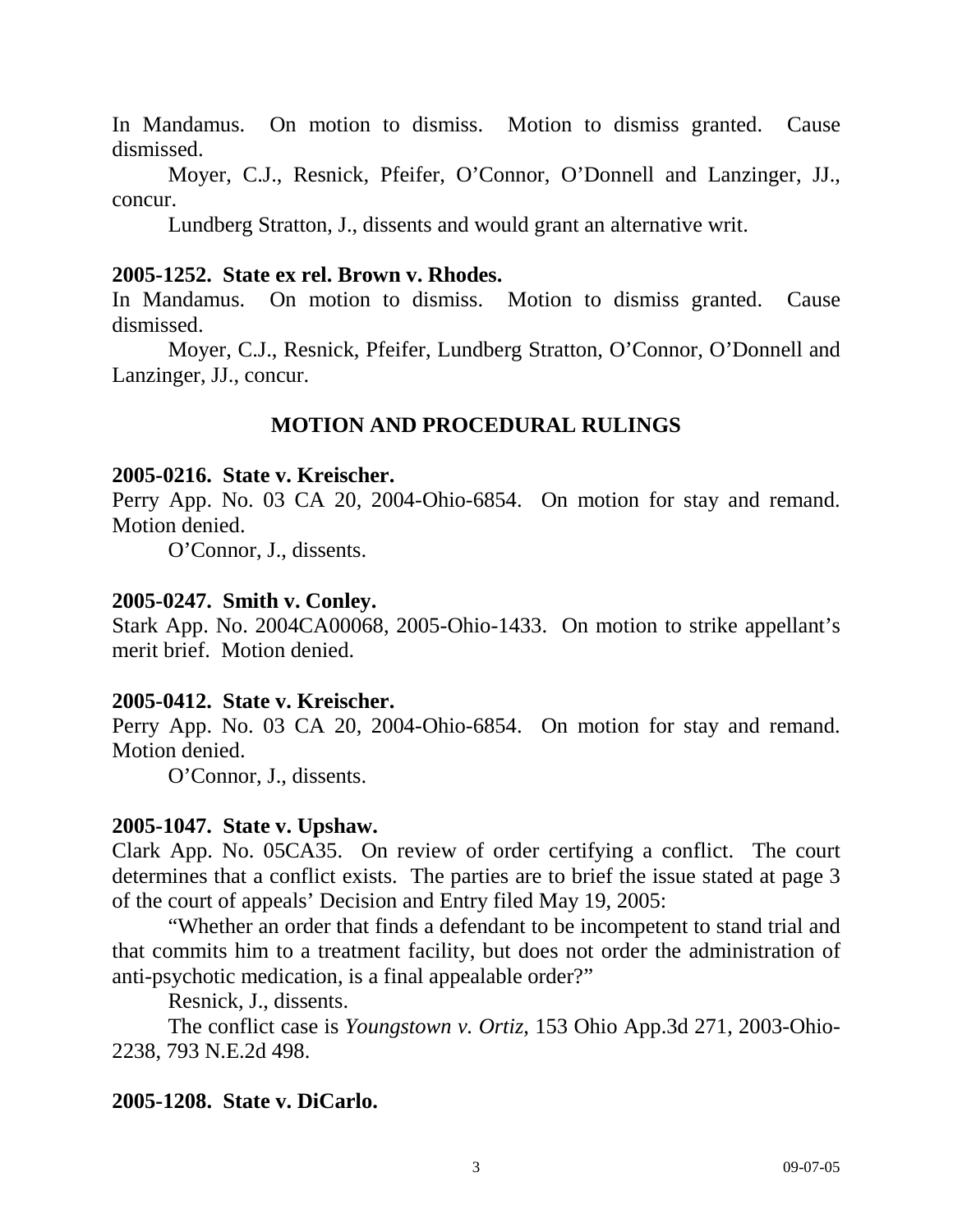In Mandamus. On motion to dismiss. Motion to dismiss granted. Cause dismissed.

 Moyer, C.J., Resnick, Pfeifer, O'Connor, O'Donnell and Lanzinger, JJ., concur.

Lundberg Stratton, J., dissents and would grant an alternative writ.

# **2005-1252. State ex rel. Brown v. Rhodes.**

In Mandamus. On motion to dismiss. Motion to dismiss granted. Cause dismissed.

 Moyer, C.J., Resnick, Pfeifer, Lundberg Stratton, O'Connor, O'Donnell and Lanzinger, JJ., concur.

# **MOTION AND PROCEDURAL RULINGS**

# **2005-0216. State v. Kreischer.**

Perry App. No. 03 CA 20, 2004-Ohio-6854. On motion for stay and remand. Motion denied.

O'Connor, J., dissents.

# **2005-0247. Smith v. Conley.**

Stark App. No. 2004CA00068, 2005-Ohio-1433. On motion to strike appellant's merit brief. Motion denied.

# **2005-0412. State v. Kreischer.**

Perry App. No. 03 CA 20, 2004-Ohio-6854. On motion for stay and remand. Motion denied.

O'Connor, J., dissents.

# **2005-1047. State v. Upshaw.**

Clark App. No. 05CA35. On review of order certifying a conflict. The court determines that a conflict exists. The parties are to brief the issue stated at page 3 of the court of appeals' Decision and Entry filed May 19, 2005:

 "Whether an order that finds a defendant to be incompetent to stand trial and that commits him to a treatment facility, but does not order the administration of anti-psychotic medication, is a final appealable order?"

Resnick, J., dissents.

 The conflict case is *Youngstown v. Ortiz*, 153 Ohio App.3d 271, 2003-Ohio-2238, 793 N.E.2d 498.

# **2005-1208. State v. DiCarlo.**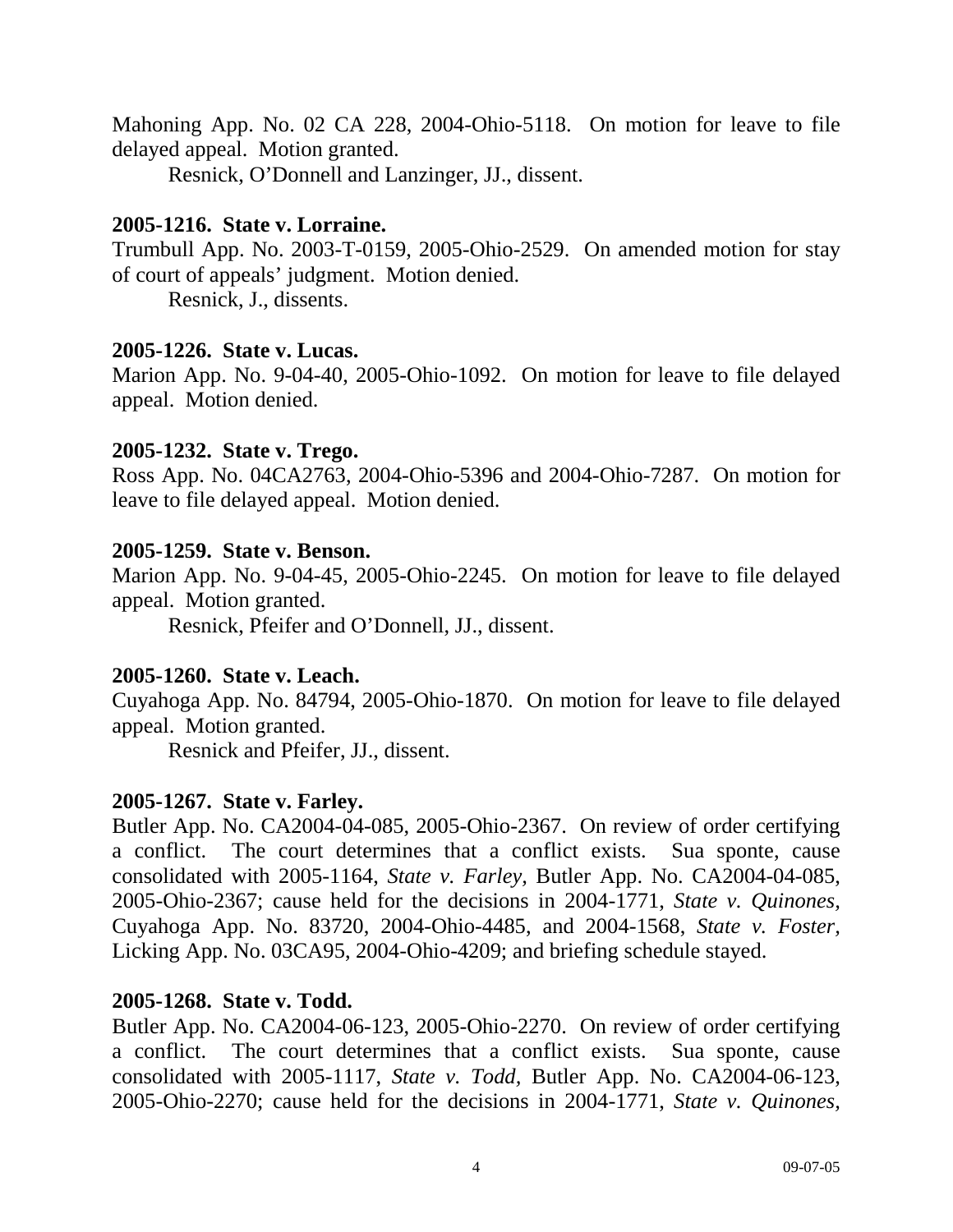Mahoning App. No. 02 CA 228, 2004-Ohio-5118. On motion for leave to file delayed appeal. Motion granted.

Resnick, O'Donnell and Lanzinger, JJ., dissent.

# **2005-1216. State v. Lorraine.**

Trumbull App. No. 2003-T-0159, 2005-Ohio-2529. On amended motion for stay of court of appeals' judgment. Motion denied.

Resnick, J., dissents.

# **2005-1226. State v. Lucas.**

Marion App. No. 9-04-40, 2005-Ohio-1092. On motion for leave to file delayed appeal. Motion denied.

# **2005-1232. State v. Trego.**

Ross App. No. 04CA2763, 2004-Ohio-5396 and 2004-Ohio-7287. On motion for leave to file delayed appeal. Motion denied.

# **2005-1259. State v. Benson.**

Marion App. No. 9-04-45, 2005-Ohio-2245. On motion for leave to file delayed appeal. Motion granted.

Resnick, Pfeifer and O'Donnell, JJ., dissent.

# **2005-1260. State v. Leach.**

Cuyahoga App. No. 84794, 2005-Ohio-1870. On motion for leave to file delayed appeal. Motion granted.

Resnick and Pfeifer, JJ., dissent.

# **2005-1267. State v. Farley.**

Butler App. No. CA2004-04-085, 2005-Ohio-2367. On review of order certifying a conflict. The court determines that a conflict exists. Sua sponte, cause consolidated with 2005-1164, *State v. Farley,* Butler App. No. CA2004-04-085, 2005-Ohio-2367; cause held for the decisions in 2004-1771, *State v. Quinones,*  Cuyahoga App. No. 83720, 2004-Ohio-4485, and 2004-1568, *State v. Foster,*  Licking App. No. 03CA95, 2004-Ohio-4209; and briefing schedule stayed.

# **2005-1268. State v. Todd.**

Butler App. No. CA2004-06-123, 2005-Ohio-2270. On review of order certifying a conflict. The court determines that a conflict exists. Sua sponte, cause consolidated with 2005-1117, *State v. Todd,* Butler App. No. CA2004-06-123, 2005-Ohio-2270; cause held for the decisions in 2004-1771, *State v. Quinones,*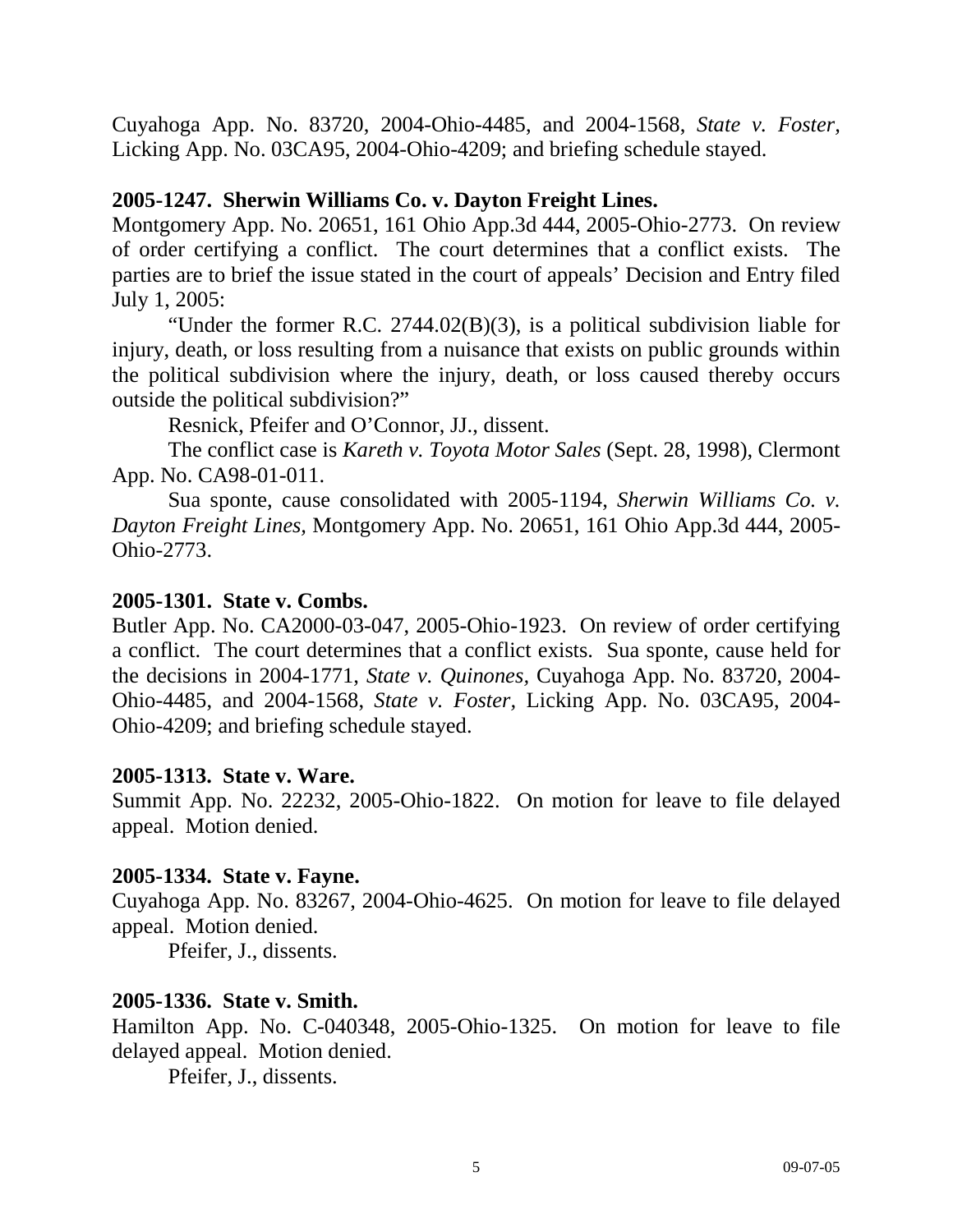Cuyahoga App. No. 83720, 2004-Ohio-4485, and 2004-1568, *State v. Foster,*  Licking App. No. 03CA95, 2004-Ohio-4209; and briefing schedule stayed.

# **2005-1247. Sherwin Williams Co. v. Dayton Freight Lines.**

Montgomery App. No. 20651, 161 Ohio App.3d 444, 2005-Ohio-2773. On review of order certifying a conflict. The court determines that a conflict exists. The parties are to brief the issue stated in the court of appeals' Decision and Entry filed July 1, 2005:

 "Under the former R.C. 2744.02(B)(3), is a political subdivision liable for injury, death, or loss resulting from a nuisance that exists on public grounds within the political subdivision where the injury, death, or loss caused thereby occurs outside the political subdivision?"

Resnick, Pfeifer and O'Connor, JJ., dissent.

 The conflict case is *Kareth v. Toyota Motor Sales* (Sept. 28, 1998), Clermont App. No. CA98-01-011.

 Sua sponte, cause consolidated with 2005-1194, *Sherwin Williams Co. v. Dayton Freight Lines,* Montgomery App. No. 20651, 161 Ohio App.3d 444, 2005- Ohio-2773.

# **2005-1301. State v. Combs.**

Butler App. No. CA2000-03-047, 2005-Ohio-1923. On review of order certifying a conflict. The court determines that a conflict exists. Sua sponte, cause held for the decisions in 2004-1771, *State v. Quinones,* Cuyahoga App. No. 83720, 2004- Ohio-4485, and 2004-1568, *State v. Foster,* Licking App. No. 03CA95, 2004- Ohio-4209; and briefing schedule stayed.

#### **2005-1313. State v. Ware.**

Summit App. No. 22232, 2005-Ohio-1822. On motion for leave to file delayed appeal. Motion denied.

#### **2005-1334. State v. Fayne.**

Cuyahoga App. No. 83267, 2004-Ohio-4625. On motion for leave to file delayed appeal. Motion denied.

Pfeifer, J., dissents.

#### **2005-1336. State v. Smith.**

Hamilton App. No. C-040348, 2005-Ohio-1325. On motion for leave to file delayed appeal. Motion denied.

Pfeifer, J., dissents.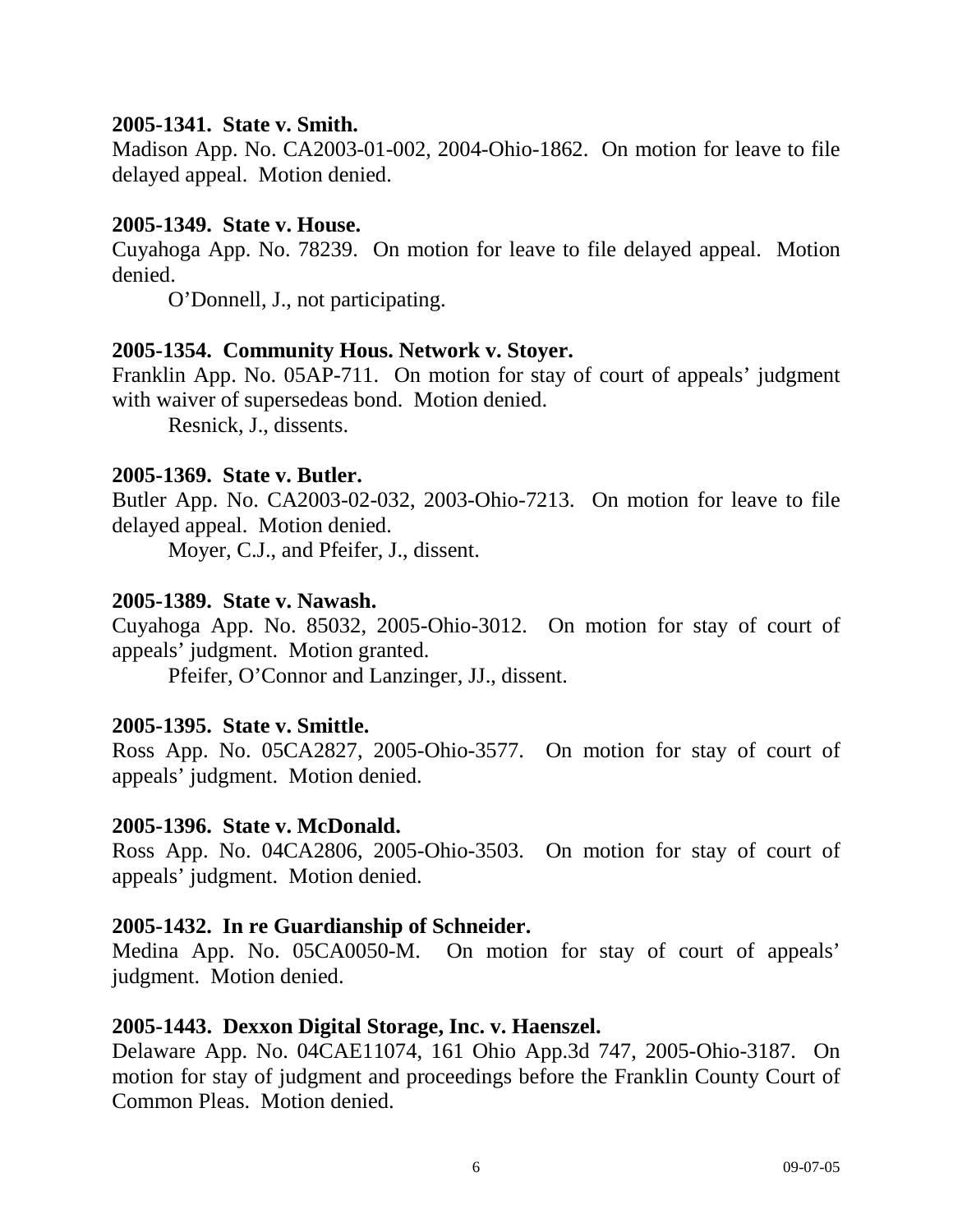# **2005-1341. State v. Smith.**

Madison App. No. CA2003-01-002, 2004-Ohio-1862. On motion for leave to file delayed appeal. Motion denied.

#### **2005-1349. State v. House.**

Cuyahoga App. No. 78239. On motion for leave to file delayed appeal. Motion denied.

O'Donnell, J., not participating.

# **2005-1354. Community Hous. Network v. Stoyer.**

Franklin App. No. 05AP-711. On motion for stay of court of appeals' judgment with waiver of supersedeas bond. Motion denied.

Resnick, J., dissents.

# **2005-1369. State v. Butler.**

Butler App. No. CA2003-02-032, 2003-Ohio-7213. On motion for leave to file delayed appeal. Motion denied.

Moyer, C.J., and Pfeifer, J., dissent.

# **2005-1389. State v. Nawash.**

Cuyahoga App. No. 85032, 2005-Ohio-3012. On motion for stay of court of appeals' judgment. Motion granted.

Pfeifer, O'Connor and Lanzinger, JJ., dissent.

# **2005-1395. State v. Smittle.**

Ross App. No. 05CA2827, 2005-Ohio-3577. On motion for stay of court of appeals' judgment. Motion denied.

#### **2005-1396. State v. McDonald.**

Ross App. No. 04CA2806, 2005-Ohio-3503. On motion for stay of court of appeals' judgment. Motion denied.

# **2005-1432. In re Guardianship of Schneider.**

Medina App. No. 05CA0050-M. On motion for stay of court of appeals' judgment. Motion denied.

# **2005-1443. Dexxon Digital Storage, Inc. v. Haenszel.**

Delaware App. No. 04CAE11074, 161 Ohio App.3d 747, 2005-Ohio-3187. On motion for stay of judgment and proceedings before the Franklin County Court of Common Pleas. Motion denied.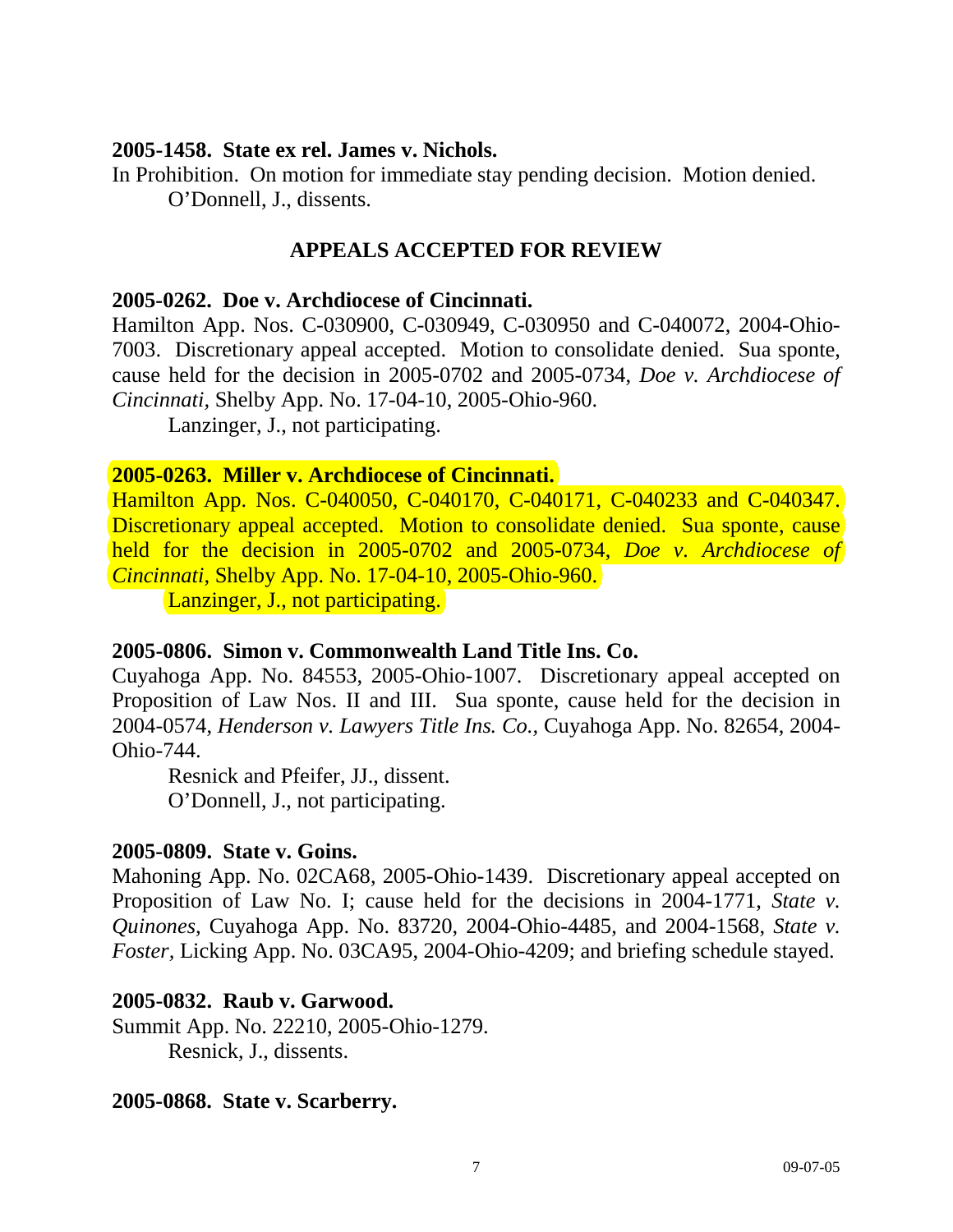#### **2005-1458. State ex rel. James v. Nichols.**

In Prohibition. On motion for immediate stay pending decision. Motion denied. O'Donnell, J., dissents.

# **APPEALS ACCEPTED FOR REVIEW**

#### **2005-0262. Doe v. Archdiocese of Cincinnati.**

Hamilton App. Nos. C-030900, C-030949, C-030950 and C-040072, 2004-Ohio-7003. Discretionary appeal accepted. Motion to consolidate denied. Sua sponte, cause held for the decision in 2005-0702 and 2005-0734, *Doe v. Archdiocese of Cincinnati,* Shelby App. No. 17-04-10, 2005-Ohio-960.

Lanzinger, J., not participating.

# **2005-0263. Miller v. Archdiocese of Cincinnati.**

Hamilton App. Nos. C-040050, C-040170, C-040171, C-040233 and C-040347. Discretionary appeal accepted. Motion to consolidate denied. Sua sponte, cause held for the decision in 2005-0702 and 2005-0734, *Doe v. Archdiocese of Cincinnati,* Shelby App. No. 17-04-10, 2005-Ohio-960.

Lanzinger, J., not participating.

# **2005-0806. Simon v. Commonwealth Land Title Ins. Co.**

Cuyahoga App. No. 84553, 2005-Ohio-1007. Discretionary appeal accepted on Proposition of Law Nos. II and III. Sua sponte, cause held for the decision in 2004-0574, *Henderson v. Lawyers Title Ins. Co.,* Cuyahoga App. No. 82654, 2004- Ohio-744.

 Resnick and Pfeifer, JJ., dissent. O'Donnell, J., not participating.

# **2005-0809. State v. Goins.**

Mahoning App. No. 02CA68, 2005-Ohio-1439. Discretionary appeal accepted on Proposition of Law No. I; cause held for the decisions in 2004-1771, *State v. Quinones,* Cuyahoga App. No. 83720, 2004-Ohio-4485, and 2004-1568, *State v. Foster,* Licking App. No. 03CA95, 2004-Ohio-4209; and briefing schedule stayed.

# **2005-0832. Raub v. Garwood.**

Summit App. No. 22210, 2005-Ohio-1279. Resnick, J., dissents.

# **2005-0868. State v. Scarberry.**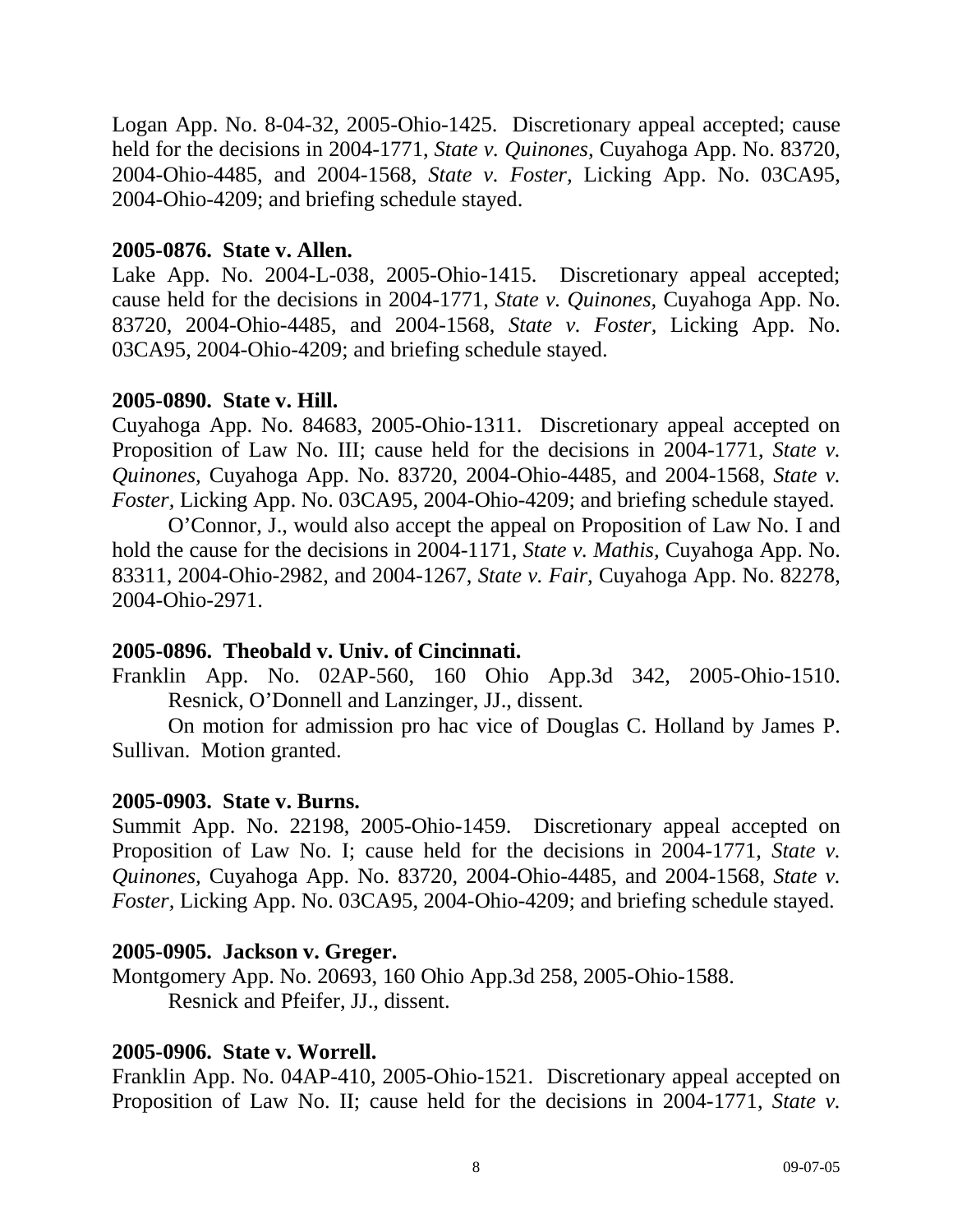Logan App. No. 8-04-32, 2005-Ohio-1425. Discretionary appeal accepted; cause held for the decisions in 2004-1771, *State v. Quinones,* Cuyahoga App. No. 83720, 2004-Ohio-4485, and 2004-1568, *State v. Foster,* Licking App. No. 03CA95, 2004-Ohio-4209; and briefing schedule stayed.

# **2005-0876. State v. Allen.**

Lake App. No. 2004-L-038, 2005-Ohio-1415. Discretionary appeal accepted; cause held for the decisions in 2004-1771, *State v. Quinones,* Cuyahoga App. No. 83720, 2004-Ohio-4485, and 2004-1568, *State v. Foster,* Licking App. No. 03CA95, 2004-Ohio-4209; and briefing schedule stayed.

# **2005-0890. State v. Hill.**

Cuyahoga App. No. 84683, 2005-Ohio-1311. Discretionary appeal accepted on Proposition of Law No. III; cause held for the decisions in 2004-1771, *State v. Quinones,* Cuyahoga App. No. 83720, 2004-Ohio-4485, and 2004-1568, *State v. Foster,* Licking App. No. 03CA95, 2004-Ohio-4209; and briefing schedule stayed.

 O'Connor, J., would also accept the appeal on Proposition of Law No. I and hold the cause for the decisions in 2004-1171, *State v. Mathis,* Cuyahoga App. No. 83311, 2004-Ohio-2982, and 2004-1267, *State v. Fair,* Cuyahoga App. No. 82278, 2004-Ohio-2971.

# **2005-0896. Theobald v. Univ. of Cincinnati.**

Franklin App. No. 02AP-560, 160 Ohio App.3d 342, 2005-Ohio-1510. Resnick, O'Donnell and Lanzinger, JJ., dissent.

 On motion for admission pro hac vice of Douglas C. Holland by James P. Sullivan. Motion granted.

#### **2005-0903. State v. Burns.**

Summit App. No. 22198, 2005-Ohio-1459. Discretionary appeal accepted on Proposition of Law No. I; cause held for the decisions in 2004-1771, *State v. Quinones,* Cuyahoga App. No. 83720, 2004-Ohio-4485, and 2004-1568, *State v. Foster,* Licking App. No. 03CA95, 2004-Ohio-4209; and briefing schedule stayed.

#### **2005-0905. Jackson v. Greger.**

Montgomery App. No. 20693, 160 Ohio App.3d 258, 2005-Ohio-1588. Resnick and Pfeifer, JJ., dissent.

#### **2005-0906. State v. Worrell.**

Franklin App. No. 04AP-410, 2005-Ohio-1521. Discretionary appeal accepted on Proposition of Law No. II; cause held for the decisions in 2004-1771, *State v.*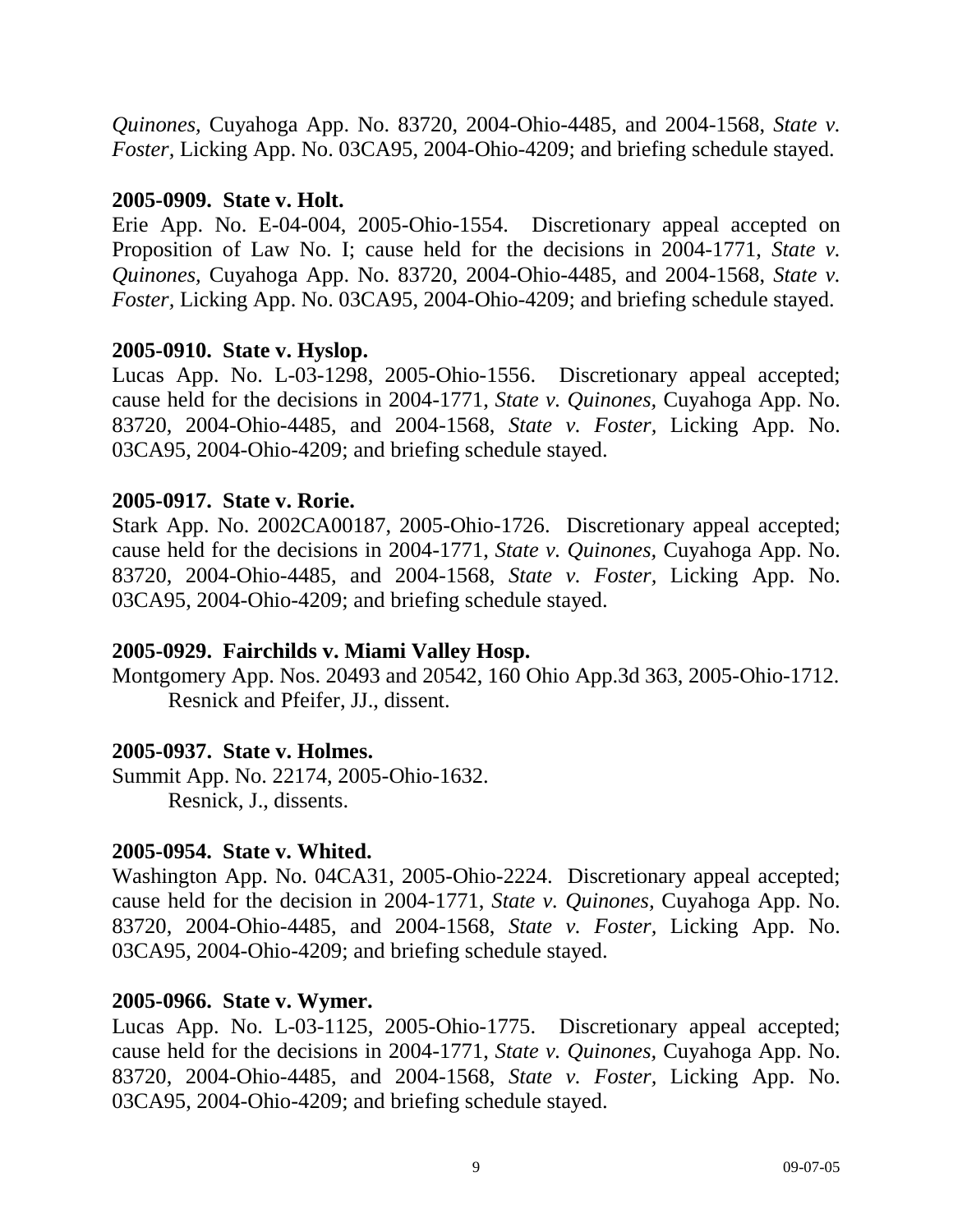*Quinones,* Cuyahoga App. No. 83720, 2004-Ohio-4485, and 2004-1568, *State v. Foster,* Licking App. No. 03CA95, 2004-Ohio-4209; and briefing schedule stayed.

# **2005-0909. State v. Holt.**

Erie App. No. E-04-004, 2005-Ohio-1554. Discretionary appeal accepted on Proposition of Law No. I; cause held for the decisions in 2004-1771, *State v. Quinones,* Cuyahoga App. No. 83720, 2004-Ohio-4485, and 2004-1568, *State v. Foster,* Licking App. No. 03CA95, 2004-Ohio-4209; and briefing schedule stayed.

# **2005-0910. State v. Hyslop.**

Lucas App. No. L-03-1298, 2005-Ohio-1556. Discretionary appeal accepted; cause held for the decisions in 2004-1771, *State v. Quinones,* Cuyahoga App. No. 83720, 2004-Ohio-4485, and 2004-1568, *State v. Foster,* Licking App. No. 03CA95, 2004-Ohio-4209; and briefing schedule stayed.

# **2005-0917. State v. Rorie.**

Stark App. No. 2002CA00187, 2005-Ohio-1726. Discretionary appeal accepted; cause held for the decisions in 2004-1771, *State v. Quinones,* Cuyahoga App. No. 83720, 2004-Ohio-4485, and 2004-1568, *State v. Foster,* Licking App. No. 03CA95, 2004-Ohio-4209; and briefing schedule stayed.

# **2005-0929. Fairchilds v. Miami Valley Hosp.**

Montgomery App. Nos. 20493 and 20542, 160 Ohio App.3d 363, 2005-Ohio-1712. Resnick and Pfeifer, JJ., dissent.

#### **2005-0937. State v. Holmes.**

Summit App. No. 22174, 2005-Ohio-1632. Resnick, J., dissents.

#### **2005-0954. State v. Whited.**

Washington App. No. 04CA31, 2005-Ohio-2224. Discretionary appeal accepted; cause held for the decision in 2004-1771, *State v. Quinones,* Cuyahoga App. No. 83720, 2004-Ohio-4485, and 2004-1568, *State v. Foster,* Licking App. No. 03CA95, 2004-Ohio-4209; and briefing schedule stayed.

# **2005-0966. State v. Wymer.**

Lucas App. No. L-03-1125, 2005-Ohio-1775. Discretionary appeal accepted; cause held for the decisions in 2004-1771, *State v. Quinones,* Cuyahoga App. No. 83720, 2004-Ohio-4485, and 2004-1568, *State v. Foster,* Licking App. No. 03CA95, 2004-Ohio-4209; and briefing schedule stayed.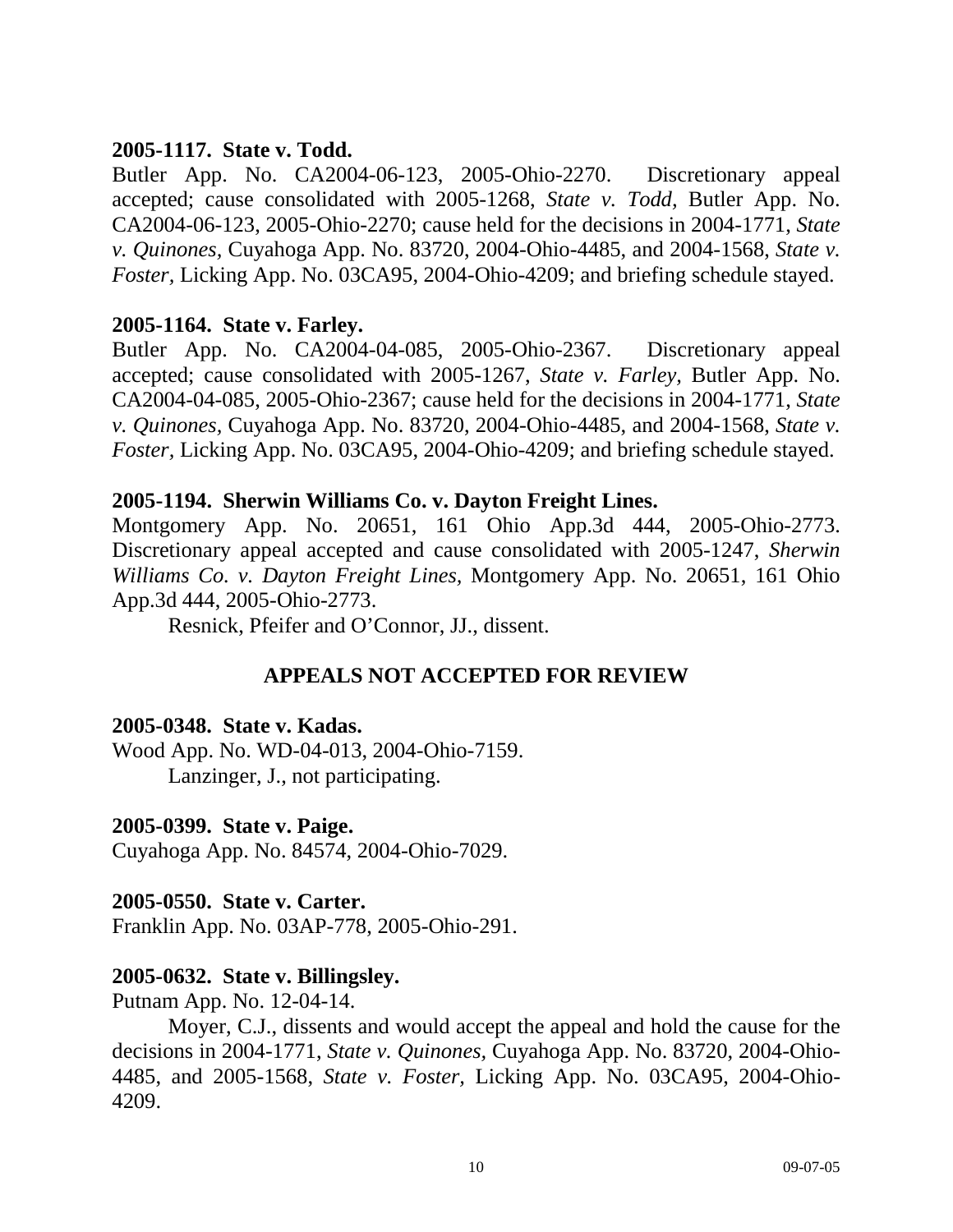# **2005-1117. State v. Todd.**

Butler App. No. CA2004-06-123, 2005-Ohio-2270. Discretionary appeal accepted; cause consolidated with 2005-1268, *State v. Todd,* Butler App. No. CA2004-06-123, 2005-Ohio-2270; cause held for the decisions in 2004-1771, *State v. Quinones,* Cuyahoga App. No. 83720, 2004-Ohio-4485, and 2004-1568, *State v. Foster,* Licking App. No. 03CA95, 2004-Ohio-4209; and briefing schedule stayed.

# **2005-1164. State v. Farley.**

Butler App. No. CA2004-04-085, 2005-Ohio-2367. Discretionary appeal accepted; cause consolidated with 2005-1267, *State v. Farley,* Butler App. No. CA2004-04-085, 2005-Ohio-2367; cause held for the decisions in 2004-1771, *State v. Quinones,* Cuyahoga App. No. 83720, 2004-Ohio-4485, and 2004-1568, *State v. Foster,* Licking App. No. 03CA95, 2004-Ohio-4209; and briefing schedule stayed.

# **2005-1194. Sherwin Williams Co. v. Dayton Freight Lines.**

Montgomery App. No. 20651, 161 Ohio App.3d 444, 2005-Ohio-2773. Discretionary appeal accepted and cause consolidated with 2005-1247, *Sherwin Williams Co. v. Dayton Freight Lines,* Montgomery App. No. 20651, 161 Ohio App.3d 444, 2005-Ohio-2773.

Resnick, Pfeifer and O'Connor, JJ., dissent.

# **APPEALS NOT ACCEPTED FOR REVIEW**

#### **2005-0348. State v. Kadas.**

Wood App. No. WD-04-013, 2004-Ohio-7159. Lanzinger, J., not participating.

#### **2005-0399. State v. Paige.**

Cuyahoga App. No. 84574, 2004-Ohio-7029.

# **2005-0550. State v. Carter.**

Franklin App. No. 03AP-778, 2005-Ohio-291.

# **2005-0632. State v. Billingsley.**

Putnam App. No. 12-04-14.

 Moyer, C.J., dissents and would accept the appeal and hold the cause for the decisions in 2004-1771, *State v. Quinones,* Cuyahoga App. No. 83720, 2004-Ohio-4485, and 2005-1568, *State v. Foster,* Licking App. No. 03CA95, 2004-Ohio-4209.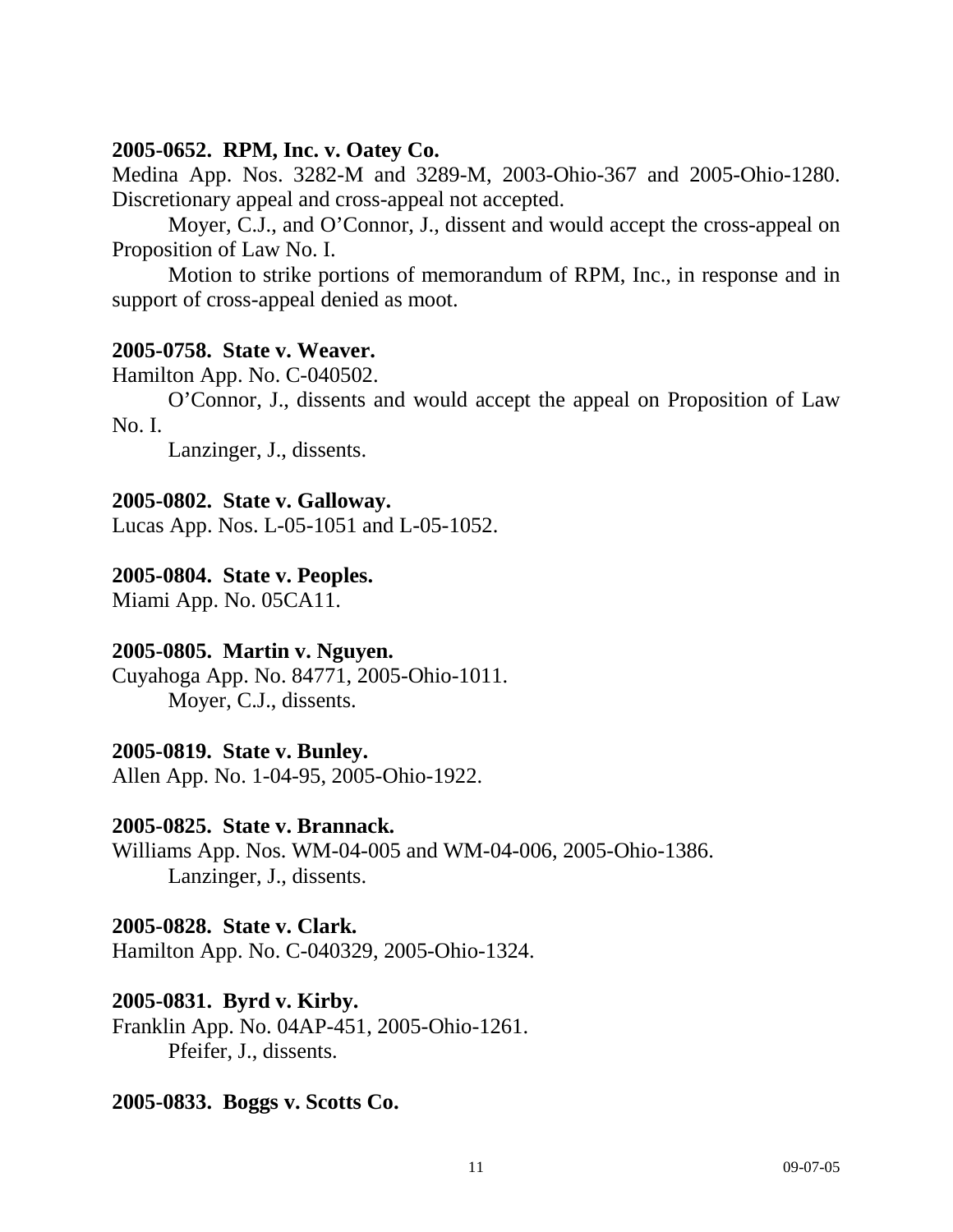# **2005-0652. RPM, Inc. v. Oatey Co.**

Medina App. Nos. 3282-M and 3289-M, 2003-Ohio-367 and 2005-Ohio-1280. Discretionary appeal and cross-appeal not accepted.

 Moyer, C.J., and O'Connor, J., dissent and would accept the cross-appeal on Proposition of Law No. I.

 Motion to strike portions of memorandum of RPM, Inc., in response and in support of cross-appeal denied as moot.

# **2005-0758. State v. Weaver.**

Hamilton App. No. C-040502.

 O'Connor, J., dissents and would accept the appeal on Proposition of Law No. I.

Lanzinger, J., dissents.

# **2005-0802. State v. Galloway.**

Lucas App. Nos. L-05-1051 and L-05-1052.

# **2005-0804. State v. Peoples.**

Miami App. No. 05CA11.

# **2005-0805. Martin v. Nguyen.**

Cuyahoga App. No. 84771, 2005-Ohio-1011. Moyer, C.J., dissents.

# **2005-0819. State v. Bunley.**

Allen App. No. 1-04-95, 2005-Ohio-1922.

# **2005-0825. State v. Brannack.**

Williams App. Nos. WM-04-005 and WM-04-006, 2005-Ohio-1386. Lanzinger, J., dissents.

# **2005-0828. State v. Clark.**

Hamilton App. No. C-040329, 2005-Ohio-1324.

# **2005-0831. Byrd v. Kirby.**

Franklin App. No. 04AP-451, 2005-Ohio-1261. Pfeifer, J., dissents.

# **2005-0833. Boggs v. Scotts Co.**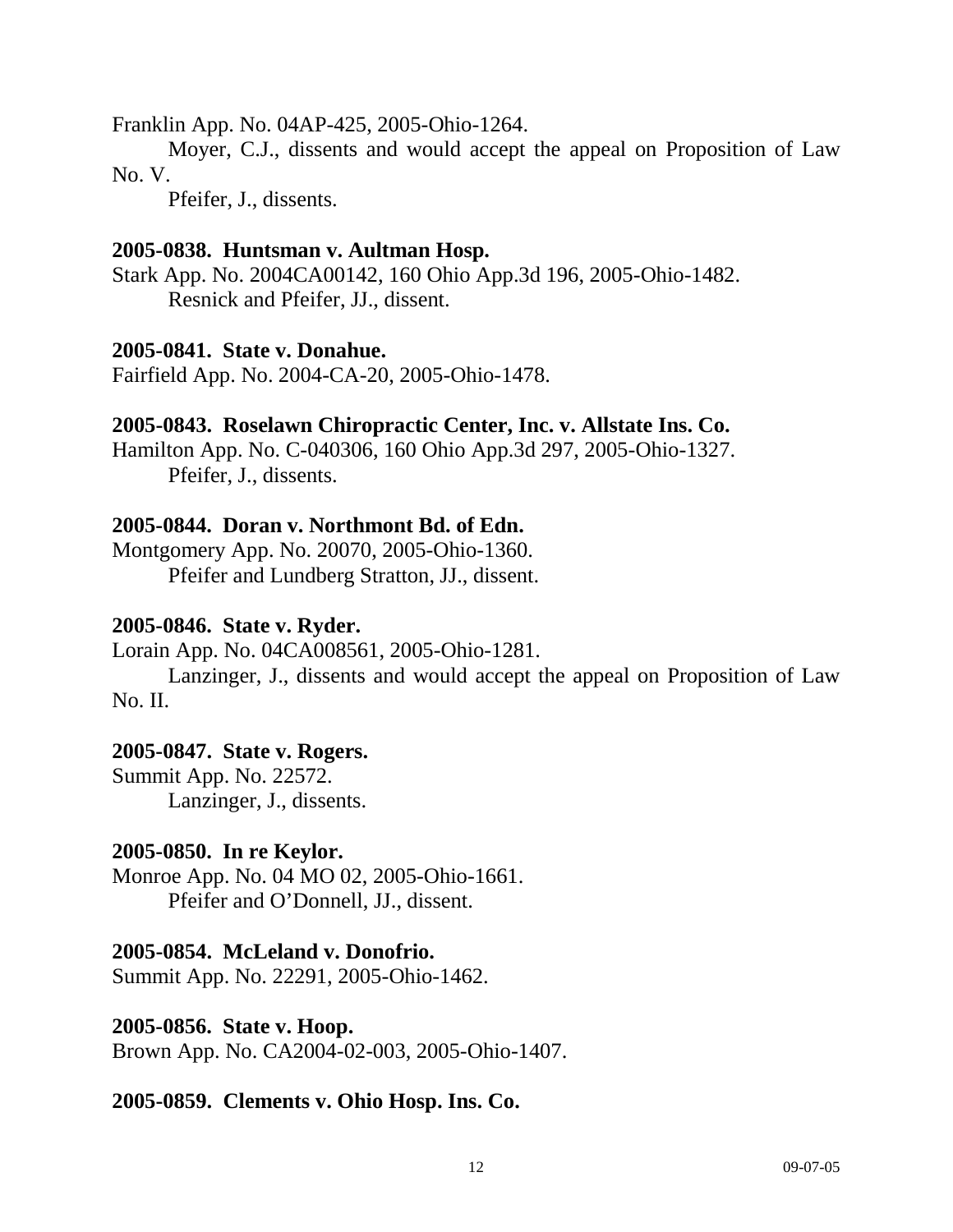Franklin App. No. 04AP-425, 2005-Ohio-1264.

 Moyer, C.J., dissents and would accept the appeal on Proposition of Law No. V.

Pfeifer, J., dissents.

# **2005-0838. Huntsman v. Aultman Hosp.**

Stark App. No. 2004CA00142, 160 Ohio App.3d 196, 2005-Ohio-1482. Resnick and Pfeifer, JJ., dissent.

# **2005-0841. State v. Donahue.**

Fairfield App. No. 2004-CA-20, 2005-Ohio-1478.

#### **2005-0843. Roselawn Chiropractic Center, Inc. v. Allstate Ins. Co.**

Hamilton App. No. C-040306, 160 Ohio App.3d 297, 2005-Ohio-1327. Pfeifer, J., dissents.

# **2005-0844. Doran v. Northmont Bd. of Edn.**

Montgomery App. No. 20070, 2005-Ohio-1360. Pfeifer and Lundberg Stratton, JJ., dissent.

#### **2005-0846. State v. Ryder.**

Lorain App. No. 04CA008561, 2005-Ohio-1281.

 Lanzinger, J., dissents and would accept the appeal on Proposition of Law No. II.

#### **2005-0847. State v. Rogers.**

Summit App. No. 22572. Lanzinger, J., dissents.

#### **2005-0850. In re Keylor.**

Monroe App. No. 04 MO 02, 2005-Ohio-1661. Pfeifer and O'Donnell, JJ., dissent.

#### **2005-0854. McLeland v. Donofrio.**

Summit App. No. 22291, 2005-Ohio-1462.

**2005-0856. State v. Hoop.**  Brown App. No. CA2004-02-003, 2005-Ohio-1407.

#### **2005-0859. Clements v. Ohio Hosp. Ins. Co.**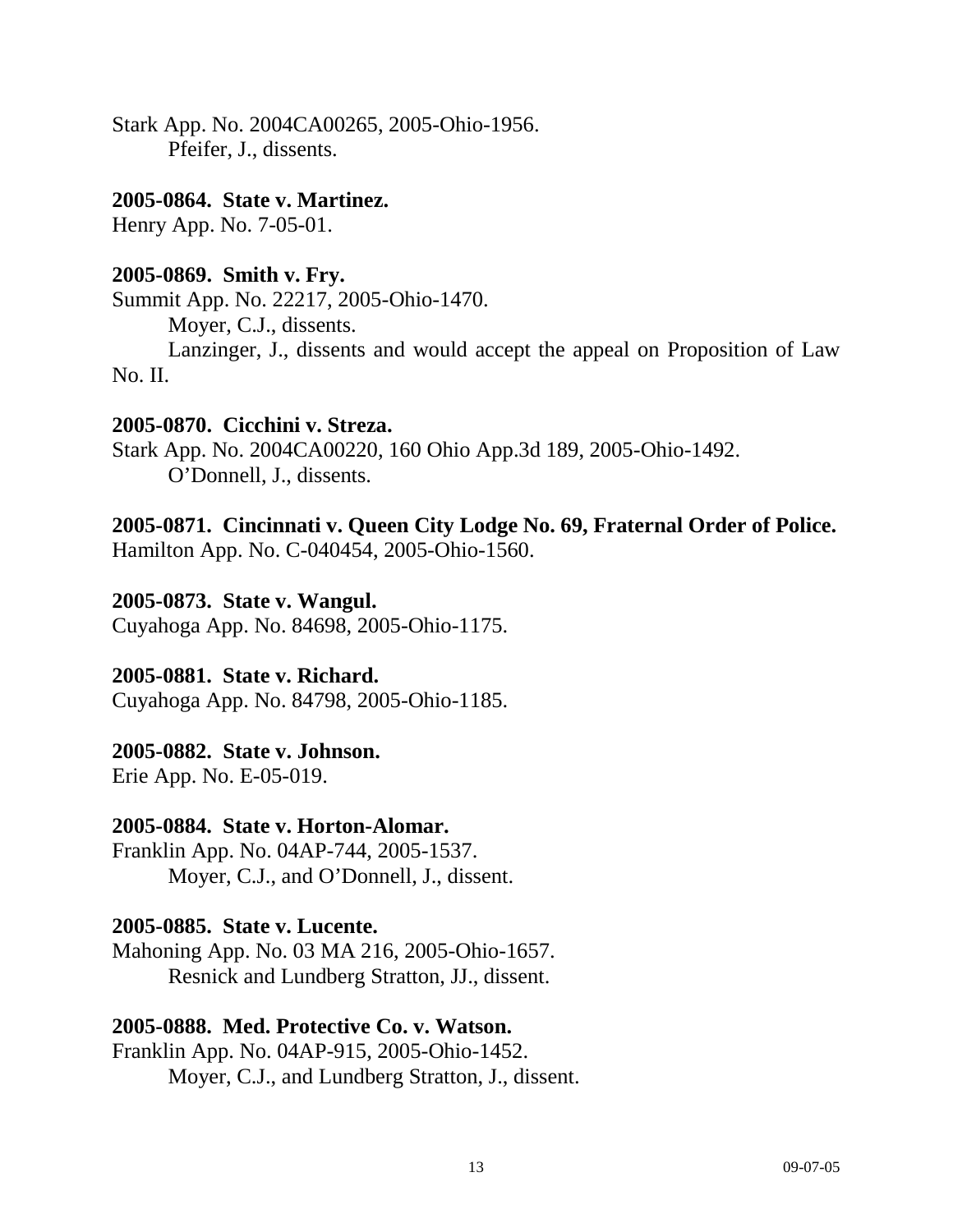Stark App. No. 2004CA00265, 2005-Ohio-1956. Pfeifer, J., dissents.

#### **2005-0864. State v. Martinez.**

Henry App. No. 7-05-01.

# **2005-0869. Smith v. Fry.**

Summit App. No. 22217, 2005-Ohio-1470. Moyer, C.J., dissents. Lanzinger, J., dissents and would accept the appeal on Proposition of Law No. II.

# **2005-0870. Cicchini v. Streza.**

Stark App. No. 2004CA00220, 160 Ohio App.3d 189, 2005-Ohio-1492. O'Donnell, J., dissents.

# **2005-0871. Cincinnati v. Queen City Lodge No. 69, Fraternal Order of Police.**

Hamilton App. No. C-040454, 2005-Ohio-1560.

# **2005-0873. State v. Wangul.**

Cuyahoga App. No. 84698, 2005-Ohio-1175.

# **2005-0881. State v. Richard.**

Cuyahoga App. No. 84798, 2005-Ohio-1185.

# **2005-0882. State v. Johnson.**

Erie App. No. E-05-019.

# **2005-0884. State v. Horton-Alomar.**

Franklin App. No. 04AP-744, 2005-1537. Moyer, C.J., and O'Donnell, J., dissent.

#### **2005-0885. State v. Lucente.**

Mahoning App. No. 03 MA 216, 2005-Ohio-1657. Resnick and Lundberg Stratton, JJ., dissent.

# **2005-0888. Med. Protective Co. v. Watson.**

Franklin App. No. 04AP-915, 2005-Ohio-1452. Moyer, C.J., and Lundberg Stratton, J., dissent.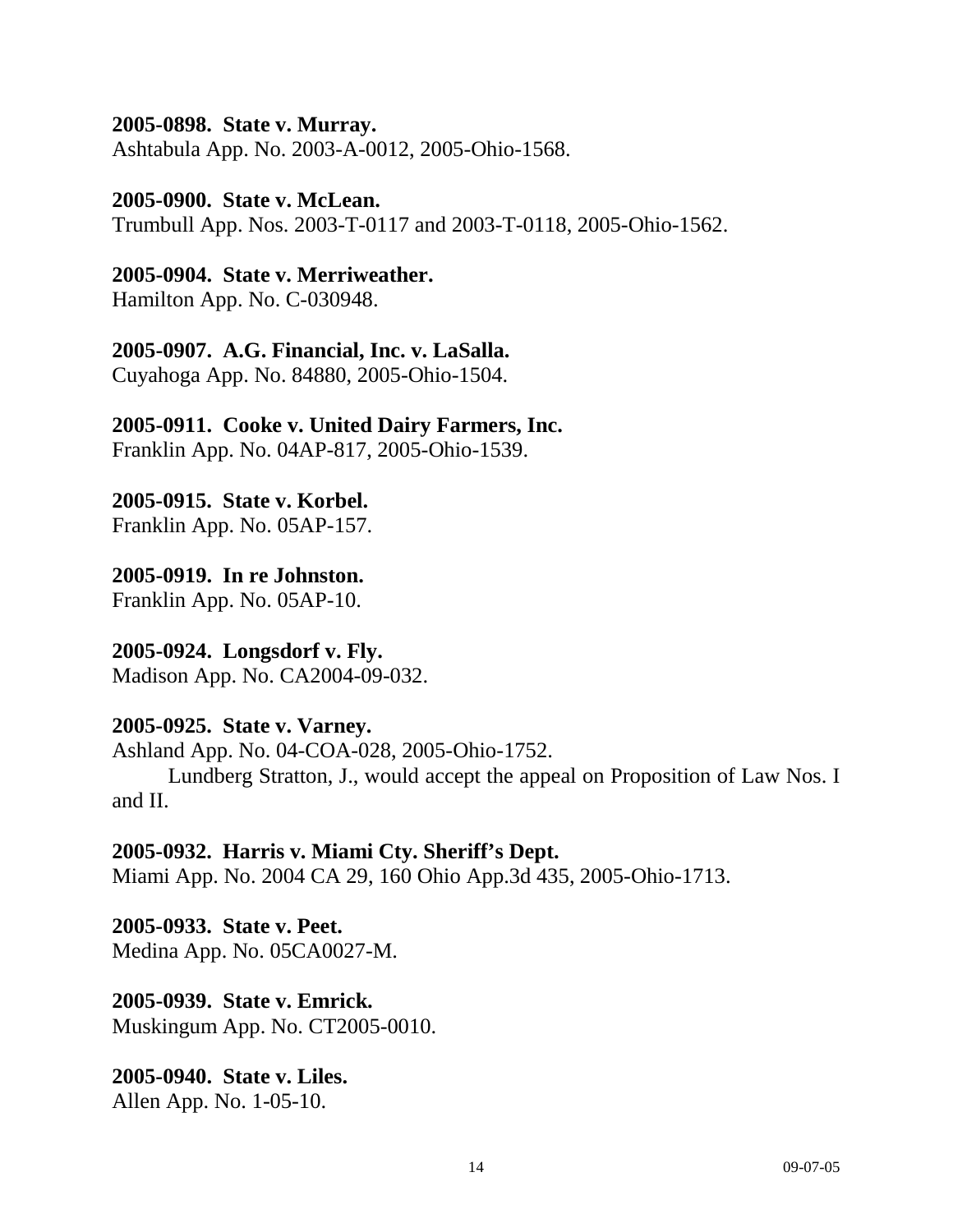#### **2005-0898. State v. Murray.**

Ashtabula App. No. 2003-A-0012, 2005-Ohio-1568.

#### **2005-0900. State v. McLean.**

Trumbull App. Nos. 2003-T-0117 and 2003-T-0118, 2005-Ohio-1562.

# **2005-0904. State v. Merriweather.**

Hamilton App. No. C-030948.

# **2005-0907. A.G. Financial, Inc. v. LaSalla.**

Cuyahoga App. No. 84880, 2005-Ohio-1504.

# **2005-0911. Cooke v. United Dairy Farmers, Inc.**

Franklin App. No. 04AP-817, 2005-Ohio-1539.

# **2005-0915. State v. Korbel.**

Franklin App. No. 05AP-157.

# **2005-0919. In re Johnston.**

Franklin App. No. 05AP-10.

# **2005-0924. Longsdorf v. Fly.**

Madison App. No. CA2004-09-032.

# **2005-0925. State v. Varney.**

Ashland App. No. 04-COA-028, 2005-Ohio-1752.

 Lundberg Stratton, J., would accept the appeal on Proposition of Law Nos. I and II.

# **2005-0932. Harris v. Miami Cty. Sheriff's Dept.**

Miami App. No. 2004 CA 29, 160 Ohio App.3d 435, 2005-Ohio-1713.

#### **2005-0933. State v. Peet.**  Medina App. No. 05CA0027-M.

**2005-0939. State v. Emrick.**  Muskingum App. No. CT2005-0010.

# **2005-0940. State v. Liles.**  Allen App. No. 1-05-10.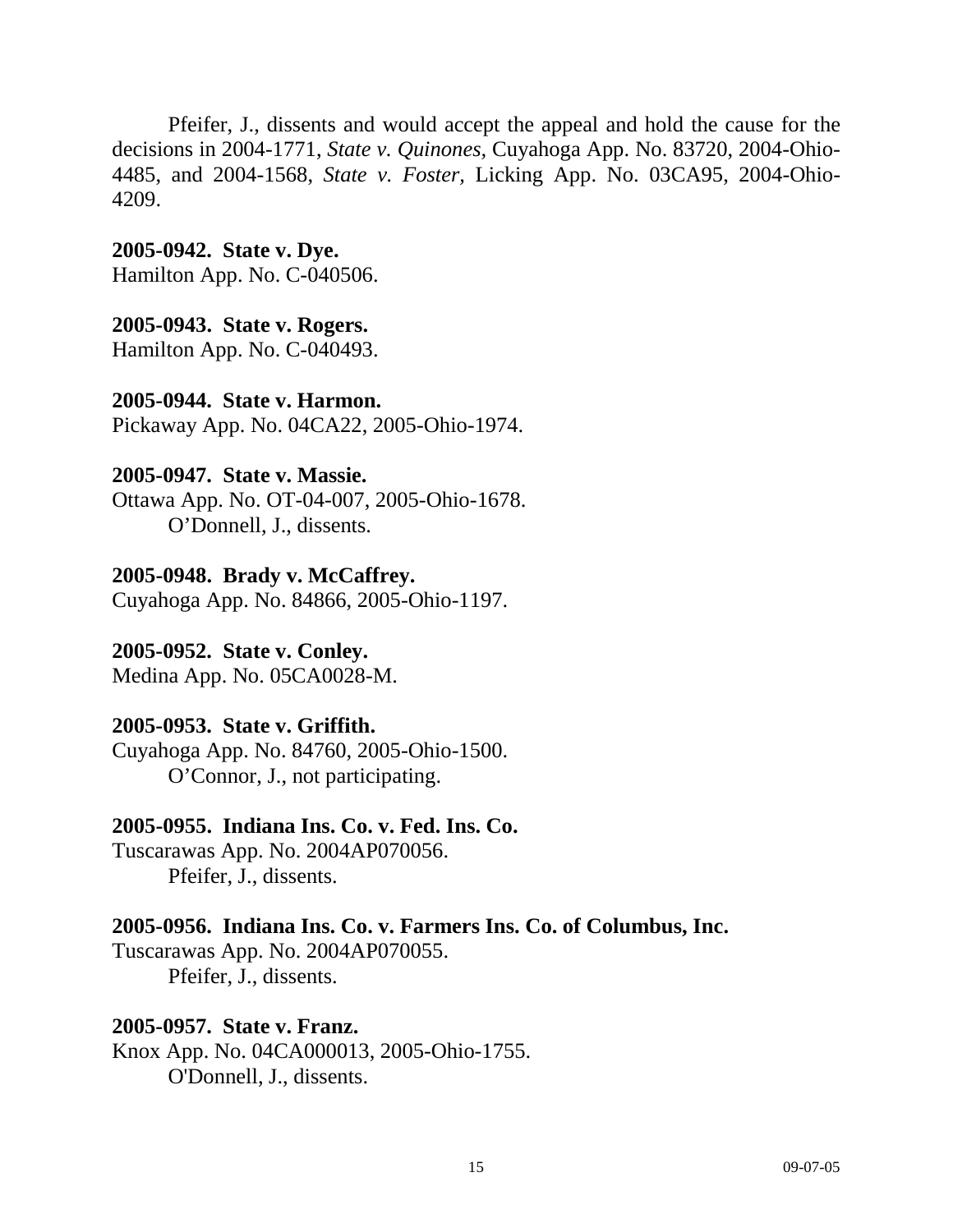Pfeifer, J., dissents and would accept the appeal and hold the cause for the decisions in 2004-1771, *State v. Quinones,* Cuyahoga App. No. 83720, 2004-Ohio-4485, and 2004-1568, *State v. Foster,* Licking App. No. 03CA95, 2004-Ohio-4209.

**2005-0942. State v. Dye.**  Hamilton App. No. C-040506.

# **2005-0943. State v. Rogers.**

Hamilton App. No. C-040493.

# **2005-0944. State v. Harmon.**

Pickaway App. No. 04CA22, 2005-Ohio-1974.

#### **2005-0947. State v. Massie.**

Ottawa App. No. OT-04-007, 2005-Ohio-1678. O'Donnell, J., dissents.

#### **2005-0948. Brady v. McCaffrey.**

Cuyahoga App. No. 84866, 2005-Ohio-1197.

#### **2005-0952. State v. Conley.**

Medina App. No. 05CA0028-M.

# **2005-0953. State v. Griffith.**

Cuyahoga App. No. 84760, 2005-Ohio-1500. O'Connor, J., not participating.

#### **2005-0955. Indiana Ins. Co. v. Fed. Ins. Co.**

Tuscarawas App. No. 2004AP070056. Pfeifer, J., dissents.

# **2005-0956. Indiana Ins. Co. v. Farmers Ins. Co. of Columbus, Inc.**

Tuscarawas App. No. 2004AP070055. Pfeifer, J., dissents.

#### **2005-0957. State v. Franz.**

Knox App. No. 04CA000013, 2005-Ohio-1755. O'Donnell, J., dissents.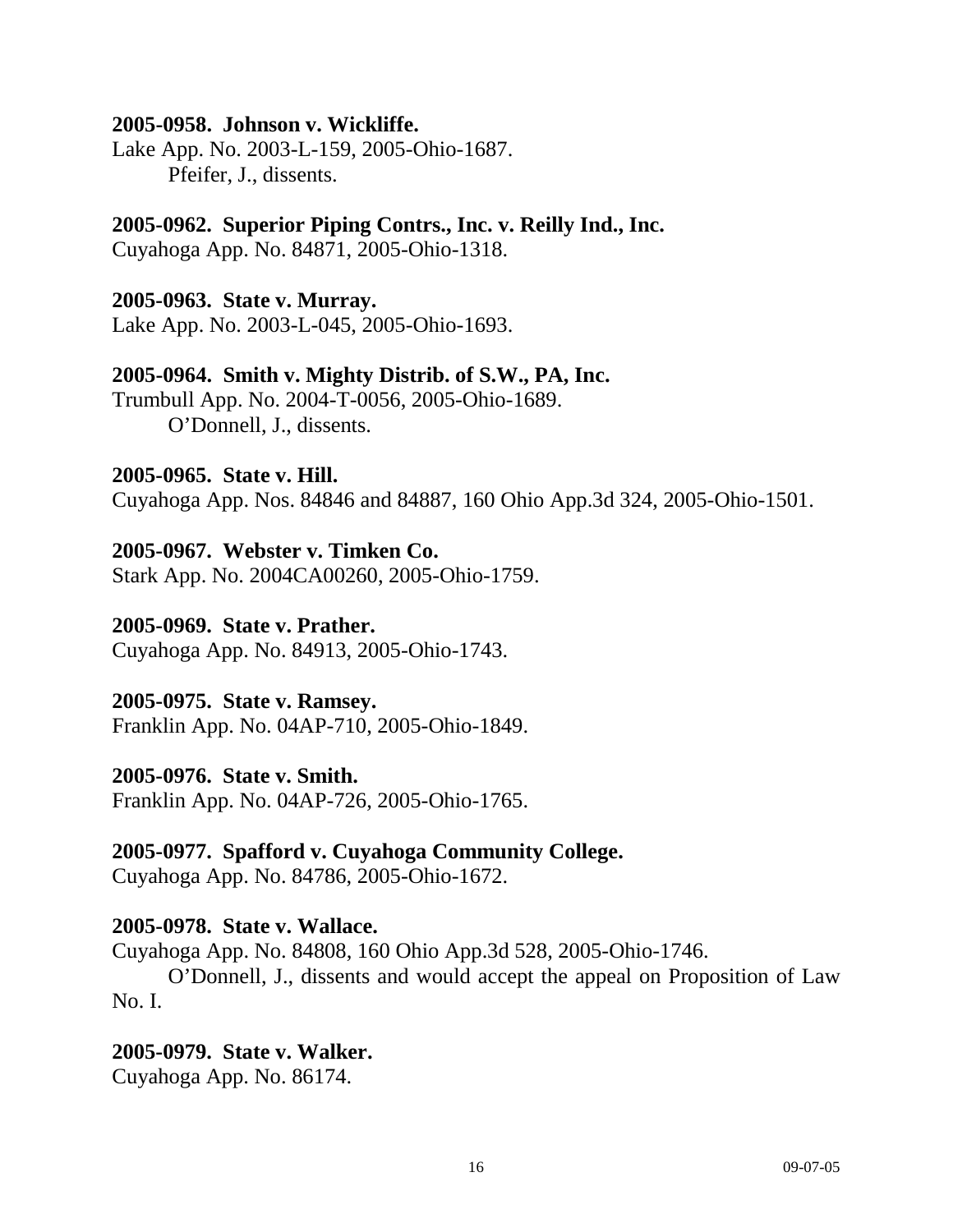#### **2005-0958. Johnson v. Wickliffe.**

Lake App. No. 2003-L-159, 2005-Ohio-1687. Pfeifer, J., dissents.

#### **2005-0962. Superior Piping Contrs., Inc. v. Reilly Ind., Inc.**  Cuyahoga App. No. 84871, 2005-Ohio-1318.

# **2005-0963. State v. Murray.**

Lake App. No. 2003-L-045, 2005-Ohio-1693.

# **2005-0964. Smith v. Mighty Distrib. of S.W., PA, Inc.**

Trumbull App. No. 2004-T-0056, 2005-Ohio-1689. O'Donnell, J., dissents.

#### **2005-0965. State v. Hill.**

Cuyahoga App. Nos. 84846 and 84887, 160 Ohio App.3d 324, 2005-Ohio-1501.

# **2005-0967. Webster v. Timken Co.**

Stark App. No. 2004CA00260, 2005-Ohio-1759.

#### **2005-0969. State v. Prather.**

Cuyahoga App. No. 84913, 2005-Ohio-1743.

#### **2005-0975. State v. Ramsey.**

Franklin App. No. 04AP-710, 2005-Ohio-1849.

#### **2005-0976. State v. Smith.**

Franklin App. No. 04AP-726, 2005-Ohio-1765.

#### **2005-0977. Spafford v. Cuyahoga Community College.**

Cuyahoga App. No. 84786, 2005-Ohio-1672.

#### **2005-0978. State v. Wallace.**

Cuyahoga App. No. 84808, 160 Ohio App.3d 528, 2005-Ohio-1746.

 O'Donnell, J., dissents and would accept the appeal on Proposition of Law No. I.

#### **2005-0979. State v. Walker.**

Cuyahoga App. No. 86174.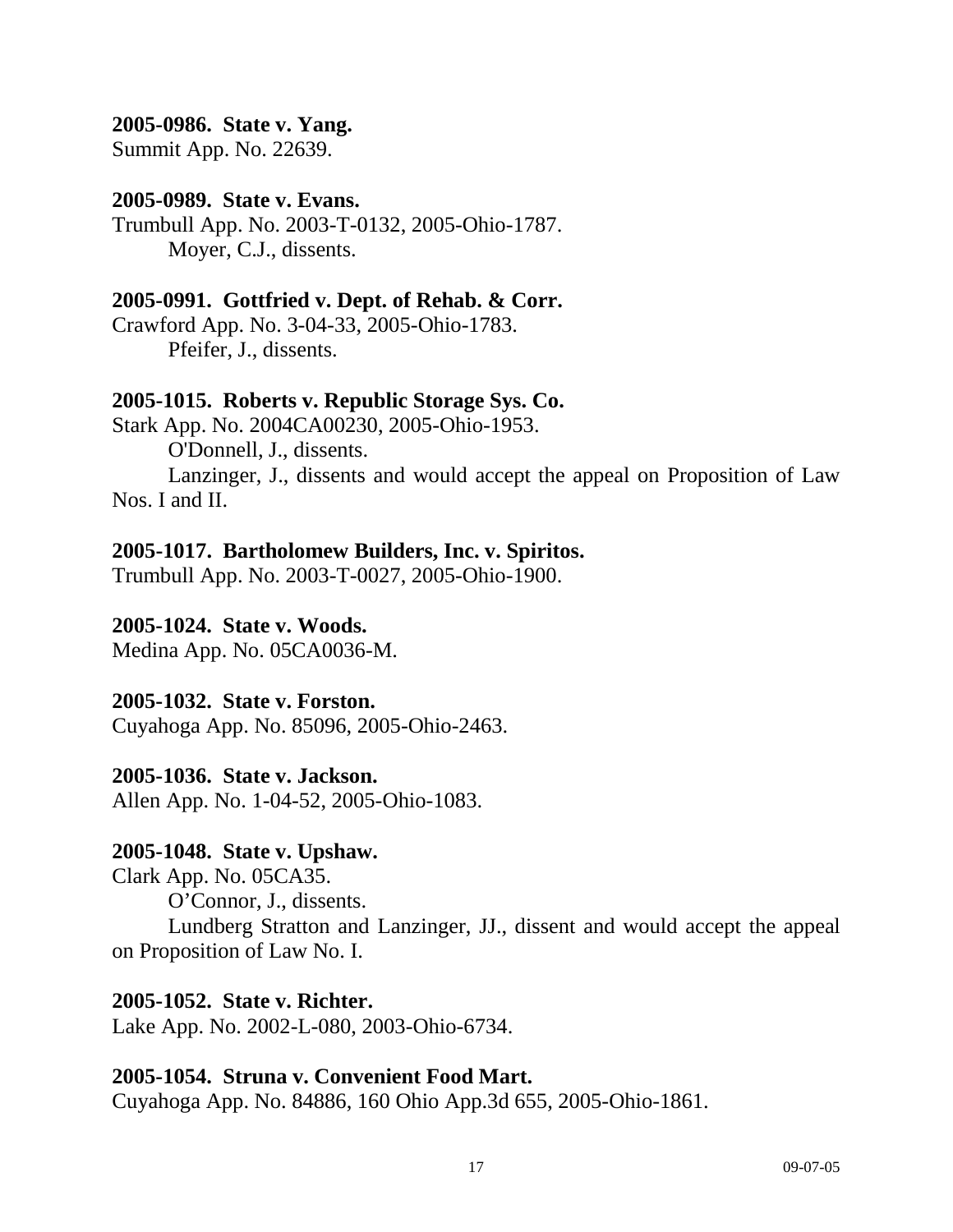# **2005-0986. State v. Yang.**

Summit App. No. 22639.

#### **2005-0989. State v. Evans.**

Trumbull App. No. 2003-T-0132, 2005-Ohio-1787. Moyer, C.J., dissents.

#### **2005-0991. Gottfried v. Dept. of Rehab. & Corr.**

Crawford App. No. 3-04-33, 2005-Ohio-1783. Pfeifer, J., dissents.

#### **2005-1015. Roberts v. Republic Storage Sys. Co.**

Stark App. No. 2004CA00230, 2005-Ohio-1953. O'Donnell, J., dissents. Lanzinger, J., dissents and would accept the appeal on Proposition of Law Nos. I and II.

#### **2005-1017. Bartholomew Builders, Inc. v. Spiritos.**

Trumbull App. No. 2003-T-0027, 2005-Ohio-1900.

#### **2005-1024. State v. Woods.**

Medina App. No. 05CA0036-M.

#### **2005-1032. State v. Forston.**

Cuyahoga App. No. 85096, 2005-Ohio-2463.

#### **2005-1036. State v. Jackson.**

Allen App. No. 1-04-52, 2005-Ohio-1083.

#### **2005-1048. State v. Upshaw.**

Clark App. No. 05CA35. O'Connor, J., dissents.

 Lundberg Stratton and Lanzinger, JJ., dissent and would accept the appeal on Proposition of Law No. I.

#### **2005-1052. State v. Richter.**

Lake App. No. 2002-L-080, 2003-Ohio-6734.

#### **2005-1054. Struna v. Convenient Food Mart.**

Cuyahoga App. No. 84886, 160 Ohio App.3d 655, 2005-Ohio-1861.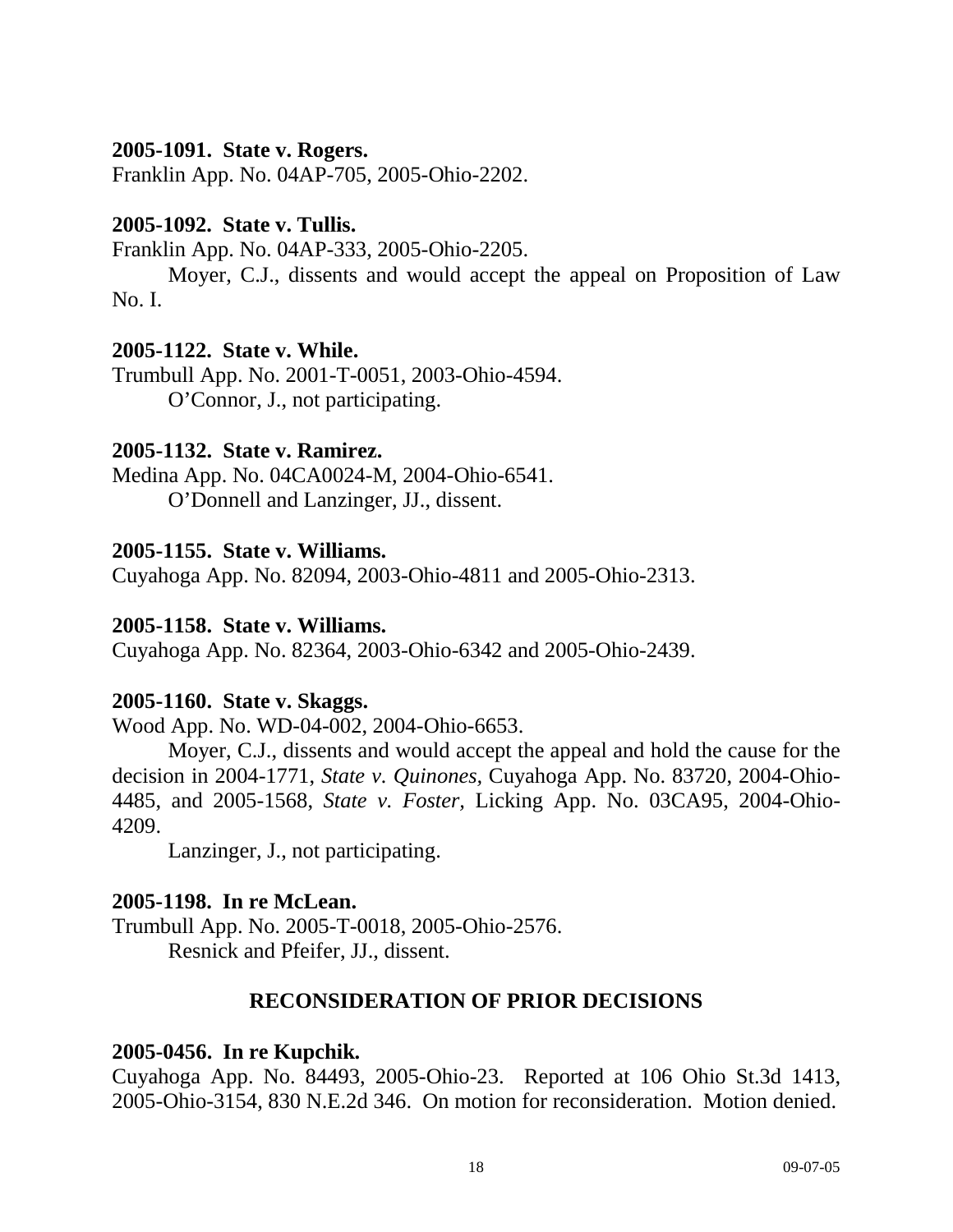#### **2005-1091. State v. Rogers.**

Franklin App. No. 04AP-705, 2005-Ohio-2202.

#### **2005-1092. State v. Tullis.**

Franklin App. No. 04AP-333, 2005-Ohio-2205.

 Moyer, C.J., dissents and would accept the appeal on Proposition of Law No. I.

# **2005-1122. State v. While.**

Trumbull App. No. 2001-T-0051, 2003-Ohio-4594. O'Connor, J., not participating.

# **2005-1132. State v. Ramirez.**

Medina App. No. 04CA0024-M, 2004-Ohio-6541. O'Donnell and Lanzinger, JJ., dissent.

# **2005-1155. State v. Williams.**

Cuyahoga App. No. 82094, 2003-Ohio-4811 and 2005-Ohio-2313.

#### **2005-1158. State v. Williams.**

Cuyahoga App. No. 82364, 2003-Ohio-6342 and 2005-Ohio-2439.

#### **2005-1160. State v. Skaggs.**

Wood App. No. WD-04-002, 2004-Ohio-6653.

 Moyer, C.J., dissents and would accept the appeal and hold the cause for the decision in 2004-1771, *State v. Quinones,* Cuyahoga App. No. 83720, 2004-Ohio-4485, and 2005-1568, *State v. Foster,* Licking App. No. 03CA95, 2004-Ohio-4209.

Lanzinger, J., not participating.

# **2005-1198. In re McLean.**

Trumbull App. No. 2005-T-0018, 2005-Ohio-2576. Resnick and Pfeifer, JJ., dissent.

# **RECONSIDERATION OF PRIOR DECISIONS**

#### **2005-0456. In re Kupchik.**

Cuyahoga App. No. 84493, 2005-Ohio-23. Reported at 106 Ohio St.3d 1413, 2005-Ohio-3154, 830 N.E.2d 346. On motion for reconsideration. Motion denied.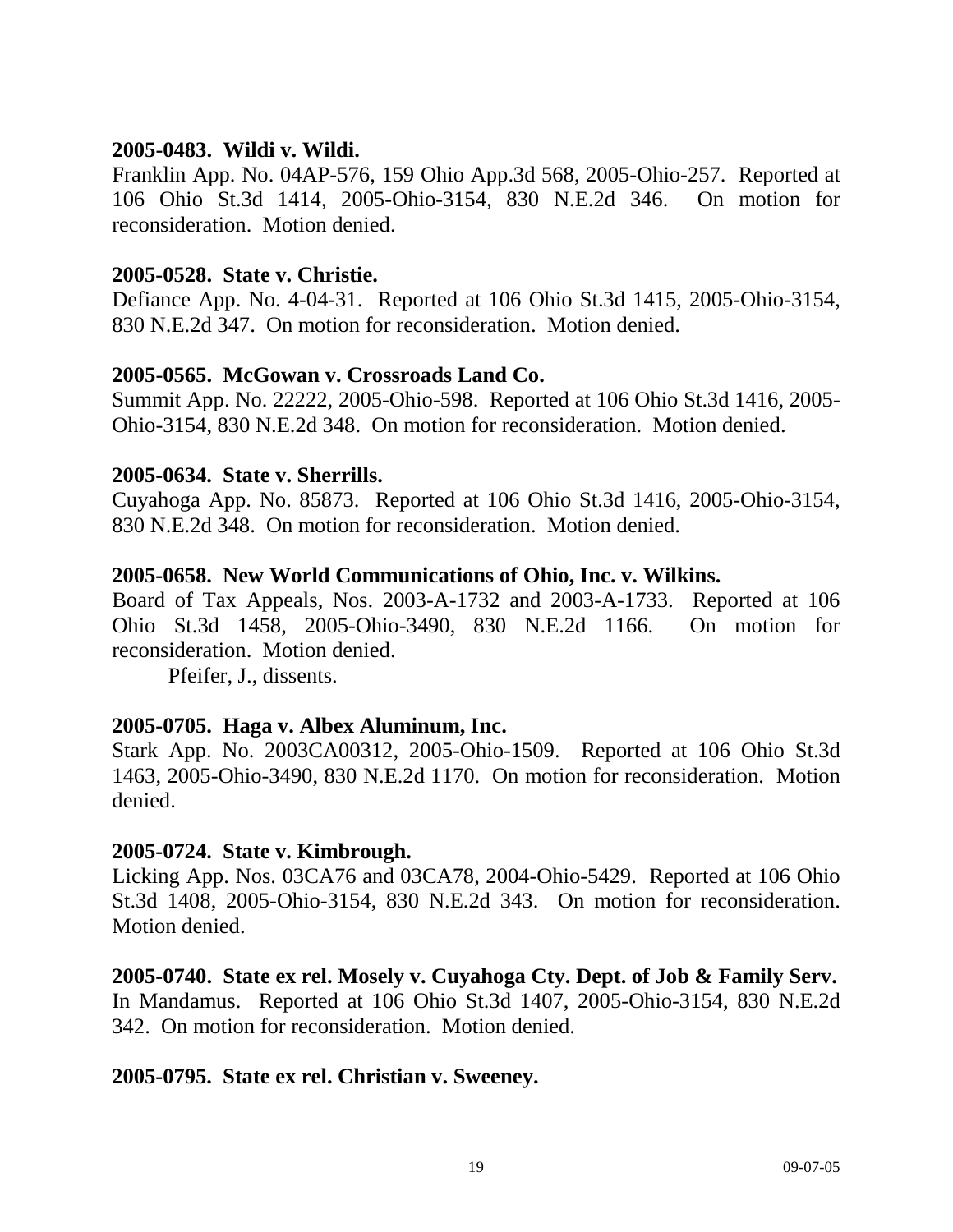#### **2005-0483. Wildi v. Wildi.**

Franklin App. No. 04AP-576, 159 Ohio App.3d 568, 2005-Ohio-257. Reported at 106 Ohio St.3d 1414, 2005-Ohio-3154, 830 N.E.2d 346. On motion for reconsideration. Motion denied.

# **2005-0528. State v. Christie.**

Defiance App. No. 4-04-31. Reported at 106 Ohio St.3d 1415, 2005-Ohio-3154, 830 N.E.2d 347. On motion for reconsideration. Motion denied.

# **2005-0565. McGowan v. Crossroads Land Co.**

Summit App. No. 22222, 2005-Ohio-598. Reported at 106 Ohio St.3d 1416, 2005- Ohio-3154, 830 N.E.2d 348. On motion for reconsideration. Motion denied.

# **2005-0634. State v. Sherrills.**

Cuyahoga App. No. 85873. Reported at 106 Ohio St.3d 1416, 2005-Ohio-3154, 830 N.E.2d 348. On motion for reconsideration. Motion denied.

# **2005-0658. New World Communications of Ohio, Inc. v. Wilkins.**

Board of Tax Appeals, Nos. 2003-A-1732 and 2003-A-1733. Reported at 106 Ohio St.3d 1458, 2005-Ohio-3490, 830 N.E.2d 1166. On motion for reconsideration. Motion denied.

Pfeifer, J., dissents.

# **2005-0705. Haga v. Albex Aluminum, Inc.**

Stark App. No. 2003CA00312, 2005-Ohio-1509. Reported at 106 Ohio St.3d 1463, 2005-Ohio-3490, 830 N.E.2d 1170. On motion for reconsideration. Motion denied.

# **2005-0724. State v. Kimbrough.**

Licking App. Nos. 03CA76 and 03CA78, 2004-Ohio-5429. Reported at 106 Ohio St.3d 1408, 2005-Ohio-3154, 830 N.E.2d 343. On motion for reconsideration. Motion denied.

# **2005-0740. State ex rel. Mosely v. Cuyahoga Cty. Dept. of Job & Family Serv.**

In Mandamus. Reported at 106 Ohio St.3d 1407, 2005-Ohio-3154, 830 N.E.2d 342. On motion for reconsideration. Motion denied.

# **2005-0795. State ex rel. Christian v. Sweeney.**